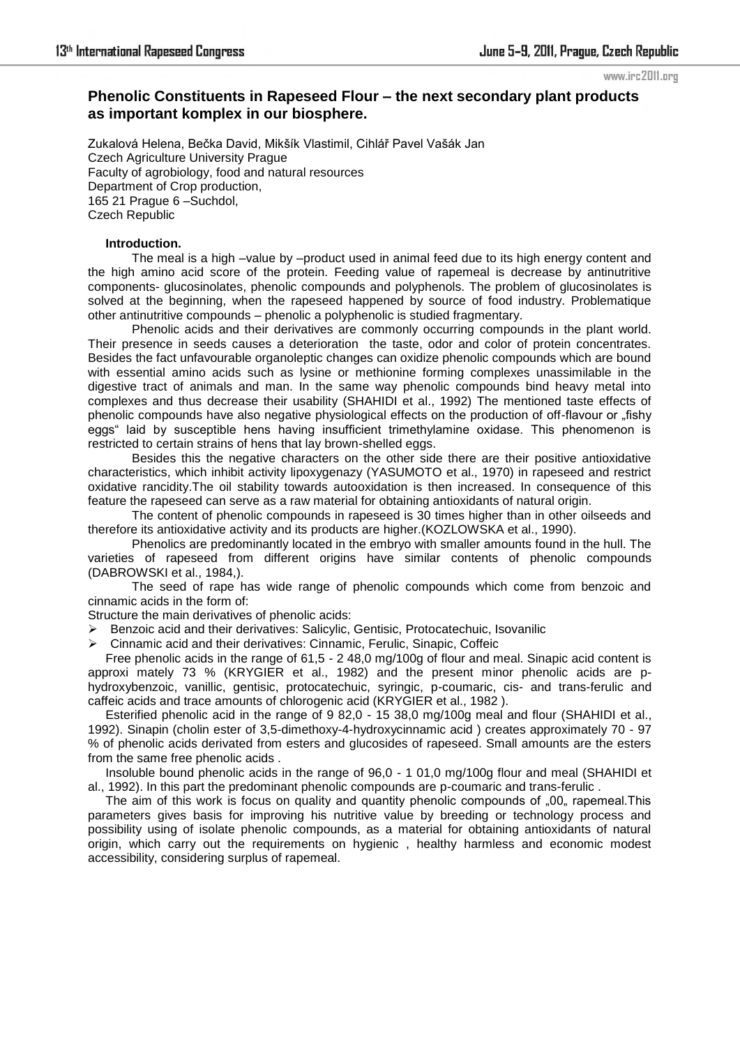www.irc2011.org

# **Phenolic Constituents in Rapeseed Flour – the next secondary plant products as important komplex in our biosphere.**

Zukalová Helena, Bečka David, Mikšík Vlastimil, Cihlář Pavel Vašák Jan Czech Agriculture University Prague Faculty of agrobiology, food and natural resources Department of Crop production, 165 21 Prague 6 –Suchdol, Czech Republic

# **Introduction.**

 The meal is a high –value by –product used in animal feed due to its high energy content and the high amino acid score of the protein. Feeding value of rapemeal is decrease by antinutritive components- glucosinolates, phenolic compounds and polyphenols. The problem of glucosinolates is solved at the beginning, when the rapeseed happened by source of food industry. Problematique other antinutritive compounds – phenolic a polyphenolic is studied fragmentary.

Phenolic acids and their derivatives are commonly occurring compounds in the plant world. Their presence in seeds causes a deterioration the taste, odor and color of protein concentrates. Besides the fact unfavourable organoleptic changes can oxidize phenolic compounds which are bound with essential amino acids such as lysine or methionine forming complexes unassimilable in the digestive tract of animals and man. In the same way phenolic compounds bind heavy metal into complexes and thus decrease their usability (SHAHIDI et al., 1992) The mentioned taste effects of phenolic compounds have also negative physiological effects on the production of off-flavour or "fishy eggs" laid by susceptible hens having insufficient trimethylamine oxidase. This phenomenon is restricted to certain strains of hens that lay brown-shelled eggs.

 Besides this the negative characters on the other side there are their positive antioxidative characteristics, which inhibit activity lipoxygenazy (YASUMOTO et al., 1970) in rapeseed and restrict oxidative rancidity.The oil stability towards autooxidation is then increased. In consequence of this feature the rapeseed can serve as a raw material for obtaining antioxidants of natural origin.

 The content of phenolic compounds in rapeseed is 30 times higher than in other oilseeds and therefore its antioxidative activity and its products are higher.(KOZLOWSKA et al., 1990).

 Phenolics are predominantly located in the embryo with smaller amounts found in the hull. The varieties of rapeseed from different origins have similar contents of phenolic compounds (DABROWSKI et al., 1984,).

 The seed of rape has wide range of phenolic compounds which come from benzoic and cinnamic acids in the form of:

Structure the main derivatives of phenolic acids:

Benzoic acid and their derivatives: Salicylic, Gentisic, Protocatechuic, Isovanilic

Cinnamic acid and their derivatives: Cinnamic, Ferulic, Sinapic, Coffeic

Free phenolic acids in the range of 61,5 - 2 48,0 mg/100g of flour and meal. Sinapic acid content is approxi mately 73 % (KRYGIER et al., 1982) and the present minor phenolic acids are phydroxybenzoic, vanillic, gentisic, protocatechuic, syringic, p-coumaric, cis- and trans-ferulic and caffeic acids and trace amounts of chlorogenic acid (KRYGIER et al., 1982 ).

Esterified phenolic acid in the range of 9 82,0 - 15 38,0 mg/100g meal and flour (SHAHIDI et al., 1992). Sinapin (cholin ester of 3,5-dimethoxy-4-hydroxycinnamic acid ) creates approximately 70 - 97 % of phenolic acids derivated from esters and glucosides of rapeseed. Small amounts are the esters from the same free phenolic acids .

Insoluble bound phenolic acids in the range of 96,0 - 1 01,0 mg/100g flour and meal (SHAHIDI et al., 1992). In this part the predominant phenolic compounds are p-coumaric and trans-ferulic .

The aim of this work is focus on quality and quantity phenolic compounds of "00 rapemeal. This parameters gives basis for improving his nutritive value by breeding or technology process and possibility using of isolate phenolic compounds, as a material for obtaining antioxidants of natural origin, which carry out the requirements on hygienic , healthy harmless and economic modest accessibility, considering surplus of rapemeal.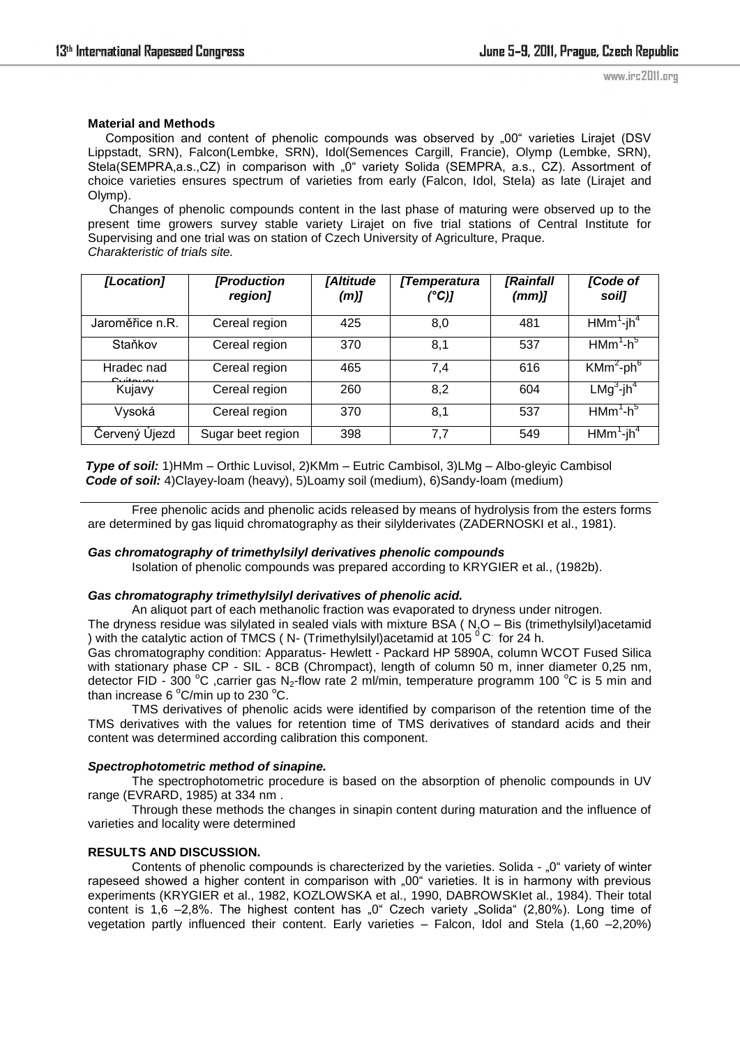# **Material and Methods**

Composition and content of phenolic compounds was observed by "00" varieties Lirajet (DSV Lippstadt, SRN), Falcon(Lembke, SRN), Idol(Semences Cargill, Francie), Olymp (Lembke, SRN), Stela(SEMPRA,a.s.,CZ) in comparison with "0" variety Solida (SEMPRA, a.s., CZ). Assortment of choice varieties ensures spectrum of varieties from early (Falcon, Idol, Stela) as late (Lirajet and Olymp).

 Changes of phenolic compounds content in the last phase of maturing were observed up to the present time growers survey stable variety Lirajet on five trial stations of Central Institute for Supervising and one trial was on station of Czech University of Agriculture, Praque. *Charakteristic of trials site.* 

| [Location]                            | [Production<br>region] | [Altitude<br>(m) | [Temperatura<br>(°C)] | <i>[Rainfall</i><br>(mm) | [Code of<br>soil]        |
|---------------------------------------|------------------------|------------------|-----------------------|--------------------------|--------------------------|
| Jaroměřice n.R.                       | Cereal region          | 425              | 8,0                   | 481                      | $HMm1-jh4$               |
| Staňkov                               | Cereal region          | 370              | 8,1                   | 537                      | $HMm^{1}-h^{5}$          |
| Hradec nad<br>بيمينم <del>ي</del> شيف | Cereal region          | 465              | 7.4                   | 616                      | $KMm^2$ -ph $^6$         |
| Kujavy                                | Cereal region          | 260              | 8,2                   | 604                      | $LMg^3$ -jh <sup>4</sup> |
| Vysoká                                | Cereal region          | 370              | 8,1                   | 537                      | $H Mm1 - h5$             |
| Červený Újezd                         | Sugar beet region      | 398              | 7,7                   | 549                      | $HMm^1$ -jh $4$          |

*Type of soil:* 1)HMm – Orthic Luvisol, 2)KMm – Eutric Cambisol, 3)LMg – Albo-gleyic Cambisol *Code of soil:* 4)Clayey-loam (heavy), 5)Loamy soil (medium), 6)Sandy-loam (medium)

Free phenolic acids and phenolic acids released by means of hydrolysis from the esters forms are determined by gas liquid chromatography as their silylderivates (ZADERNOSKI et al., 1981).

# *Gas chromatography of trimethylsilyl derivatives phenolic compounds*

Isolation of phenolic compounds was prepared according to KRYGIER et al., (1982b).

# *Gas chromatography trimethylsilyl derivatives of phenolic acid.*

An aliquot part of each methanolic fraction was evaporated to dryness under nitrogen.

The dryness residue was silylated in sealed vials with mixture BSA ( N,O – Bis (trimethylsilyl)acetamid ) with the catalytic action of TMCS ( N- (Trimethylsilyl)acetamid at 105  $^{0}$ C for 24 h.

Gas chromatography condition: Apparatus- Hewlett - Packard HP 5890A, column WCOT Fused Silica with stationary phase CP - SIL - 8CB (Chrompact), length of column 50 m, inner diameter 0,25 nm, detector FID - 300 °C ,carrier gas N<sub>2</sub>-flow rate 2 ml/min, temperature programm 100 °C is 5 min and than increase 6  $^{\circ}$ C/min up to 230  $^{\circ}$ C.

TMS derivatives of phenolic acids were identified by comparison of the retention time of the TMS derivatives with the values for retention time of TMS derivatives of standard acids and their content was determined according calibration this component.

# *Spectrophotometric method of sinapine.*

The spectrophotometric procedure is based on the absorption of phenolic compounds in UV range (EVRARD, 1985) at 334 nm .

 Through these methods the changes in sinapin content during maturation and the influence of varieties and locality were determined

# **RESULTS AND DISCUSSION.**

Contents of phenolic compounds is charecterized by the varieties. Solida - "0" variety of winter rapeseed showed a higher content in comparison with "00" varieties. It is in harmony with previous experiments (KRYGIER et al., 1982, KOZLOWSKA et al., 1990, DABROWSKIet al., 1984). Their total content is  $1.6 -2.8\%$ . The highest content has  $.0^{\circ}$  Czech variety  $.$  Solida  $\degree$  (2.80%). Long time of vegetation partly influenced their content. Early varieties – Falcon, Idol and Stela (1,60 –2,20%)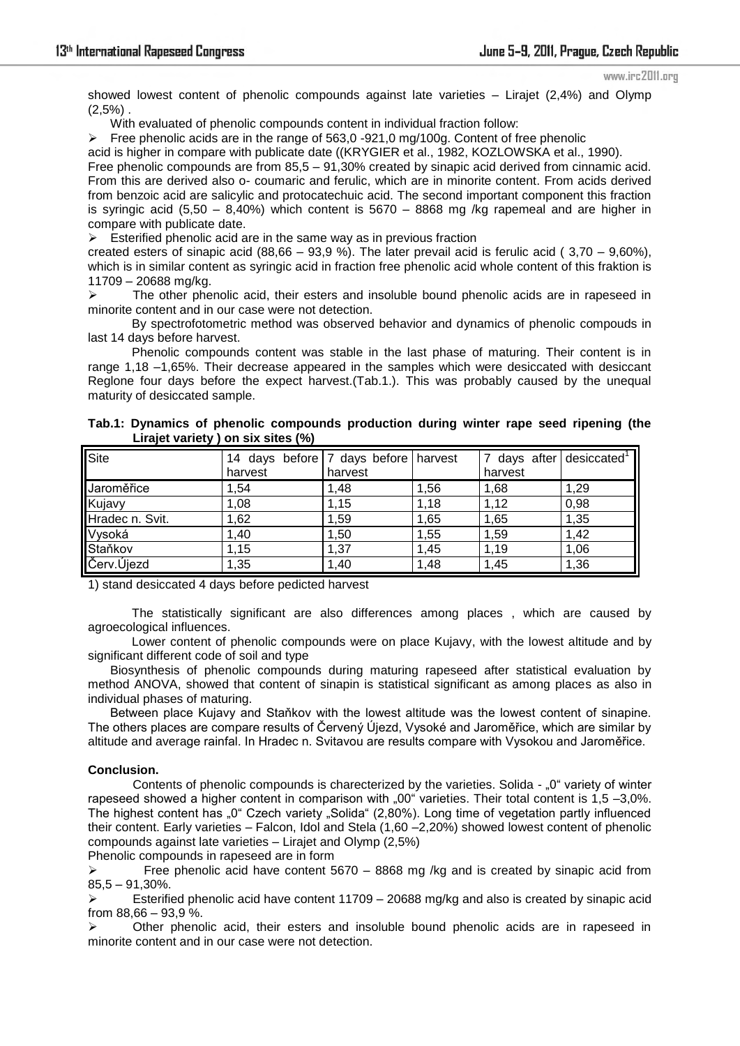#### www.irc2011.org

showed lowest content of phenolic compounds against late varieties – Lirajet (2,4%) and Olymp  $(2,5%)$ .

With evaluated of phenolic compounds content in individual fraction follow:

Free phenolic acids are in the range of 563,0 -921,0 mg/100g. Content of free phenolic

acid is higher in compare with publicate date ((KRYGIER et al., 1982, KOZLOWSKA et al., 1990). Free phenolic compounds are from 85,5 – 91,30% created by sinapic acid derived from cinnamic acid.

From this are derived also o- coumaric and ferulic, which are in minorite content. From acids derived from benzoic acid are salicylic and protocatechuic acid. The second important component this fraction is syringic acid  $(5,50 - 8,40%)$  which content is  $5670 - 8868$  mg /kg rapemeal and are higher in compare with publicate date.

 $\triangleright$  Esterified phenolic acid are in the same way as in previous fraction

created esters of sinapic acid (88,66 – 93,9 %). The later prevail acid is ferulic acid (3,70 – 9,60%), which is in similar content as syringic acid in fraction free phenolic acid whole content of this fraktion is 11709 – 20688 mg/kg.

 $\triangleright$  The other phenolic acid, their esters and insoluble bound phenolic acids are in rapeseed in minorite content and in our case were not detection.

 By spectrofotometric method was observed behavior and dynamics of phenolic compouds in last 14 days before harvest.

 Phenolic compounds content was stable in the last phase of maturing. Their content is in range 1,18 –1,65%. Their decrease appeared in the samples which were desiccated with desiccant Reglone four days before the expect harvest.(Tab.1.). This was probably caused by the unequal maturity of desiccated sample.

| Tab.1: Dynamics of phenolic compounds production during winter rape seed ripening (the<br>Lirajet variety) on six sites (%) |  |  |                                      |  |  |                                                  |  |
|-----------------------------------------------------------------------------------------------------------------------------|--|--|--------------------------------------|--|--|--------------------------------------------------|--|
| $\mathsf{Cita}$                                                                                                             |  |  | 14 days before 7 days before banyest |  |  | $\mathbf{17}$ dave after deciccated $\mathbf{1}$ |  |

| Site            | 14 days before   7 days before   harvest |         |      | 7 days after desiccated <sup>1</sup> |      |
|-----------------|------------------------------------------|---------|------|--------------------------------------|------|
|                 | harvest                                  | harvest |      | harvest                              |      |
| Jaroměřice      | 1.54                                     | 1.48    | 1.56 | 1,68                                 | 1,29 |
| Kujavy          | 1,08                                     | 1,15    | 1,18 | 1,12                                 | 0,98 |
| Hradec n. Svit. | 1,62                                     | 1,59    | 1,65 | 1,65                                 | 1,35 |
| Vysoká          | 1,40                                     | 1,50    | 1,55 | 1,59                                 | 1,42 |
| Staňkov         | 1,15                                     | 1,37    | 1,45 | 1,19                                 | 1,06 |
| Červ.Ujezd      | 1,35                                     | 1,40    | 1,48 | 1,45                                 | 1,36 |

1) stand desiccated 4 days before pedicted harvest

The statistically significant are also differences among places , which are caused by agroecological influences.

 Lower content of phenolic compounds were on place Kujavy, with the lowest altitude and by significant different code of soil and type

Biosynthesis of phenolic compounds during maturing rapeseed after statistical evaluation by method ANOVA, showed that content of sinapin is statistical significant as among places as also in individual phases of maturing.

Between place Kujavy and Staňkov with the lowest altitude was the lowest content of sinapine. The others places are compare results of Červený Újezd, Vysoké and Jaroměřice, which are similar by altitude and average rainfal. In Hradec n. Svitavou are results compare with Vysokou and Jaroměřice.

# **Conclusion.**

Contents of phenolic compounds is charecterized by the varieties. Solida - ..0" variety of winter rapeseed showed a higher content in comparison with "00" varieties. Their total content is 1,5 -3,0%. The highest content has "0" Czech variety "Solida" (2,80%). Long time of vegetation partly influenced their content. Early varieties – Falcon, Idol and Stela (1,60 –2,20%) showed lowest content of phenolic compounds against late varieties – Lirajet and Olymp (2,5%)

Phenolic compounds in rapeseed are in form

Free phenolic acid have content  $5670 - 8868$  mg /kg and is created by sinapic acid from 85,5 – 91,30%.

 Esterified phenolic acid have content 11709 – 20688 mg/kg and also is created by sinapic acid from 88,66 – 93,9 %.

 $\triangleright$  Other phenolic acid, their esters and insoluble bound phenolic acids are in rapeseed in minorite content and in our case were not detection.